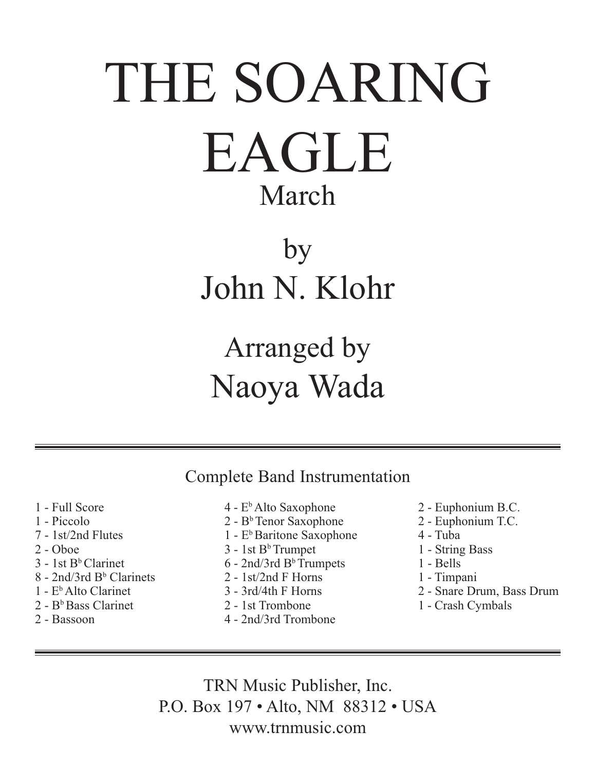# THE SOARING EAGLE March

## by John N. Klohr

### Arranged by Naoya Wada

Complete Band Instrumentation

- 1 Full Score
- 1 Piccolo
- 7 1st/2nd Flutes
- 2 Oboe
- $3 1$ st B<sup>b</sup> Clarinet
- 8 2nd/3rd B<sup>b</sup> Clarinets
- 1 EbAlto Clarinet
- $2 B<sup>b</sup>$  Bass Clarinet
- 2 Bassoon
- $4 E<sup>b</sup>$  Alto Saxophone
- $2 B<sup>b</sup>$  Tenor Saxophone
- $1$   $E<sup>b</sup>$  Baritone Saxophone
- $3 1$ st  $B<sup>b</sup>$ Trumpet
- $6 2$ nd/3rd B<sup>b</sup>Trumpets
- 2 1st/2nd F Horns
- 3 3rd/4th F Horns
- 2 1st Trombone
- 4 2nd/3rd Trombone
- 2 Euphonium B.C.
- 2 Euphonium T.C.
- 4 Tuba
- 1 String Bass
- 1 Bells
- 1 Timpani
- 2 Snare Drum, Bass Drum
- 1 Crash Cymbals

TRN Music Publisher, Inc. P.O. Box 197 • Alto, NM 88312 • USA www.trnmusic.com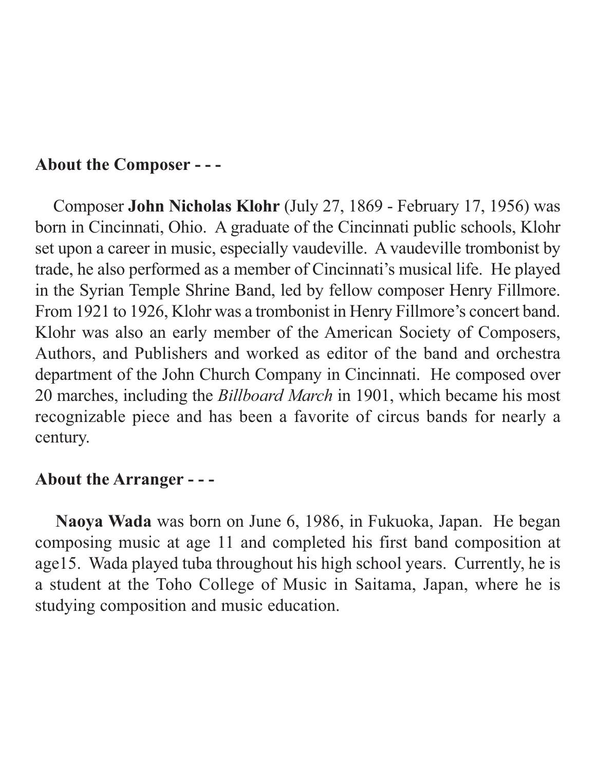#### **About the Composer - - -**

 Composer **John Nicholas Klohr** (July 27, 1869 - February 17, 1956) was born in Cincinnati, Ohio. A graduate of the Cincinnati public schools, Klohr set upon a career in music, especially vaudeville. A vaudeville trombonist by trade, he also performed as a member of Cincinnati's musical life. He played in the Syrian Temple Shrine Band, led by fellow composer Henry Fillmore. From 1921 to 1926, Klohr was a trombonist in Henry Fillmore's concert band. Klohr was also an early member of the American Society of Composers, Authors, and Publishers and worked as editor of the band and orchestra department of the John Church Company in Cincinnati. He composed over 20 marches, including the *Billboard March* in 1901, which became his most recognizable piece and has been a favorite of circus bands for nearly a century.

#### **About the Arranger - - -**

**Naoya Wada** was born on June 6, 1986, in Fukuoka, Japan. He began composing music at age 11 and completed his first band composition at age15. Wada played tuba throughout his high school years. Currently, he is a student at the Toho College of Music in Saitama, Japan, where he is studying composition and music education.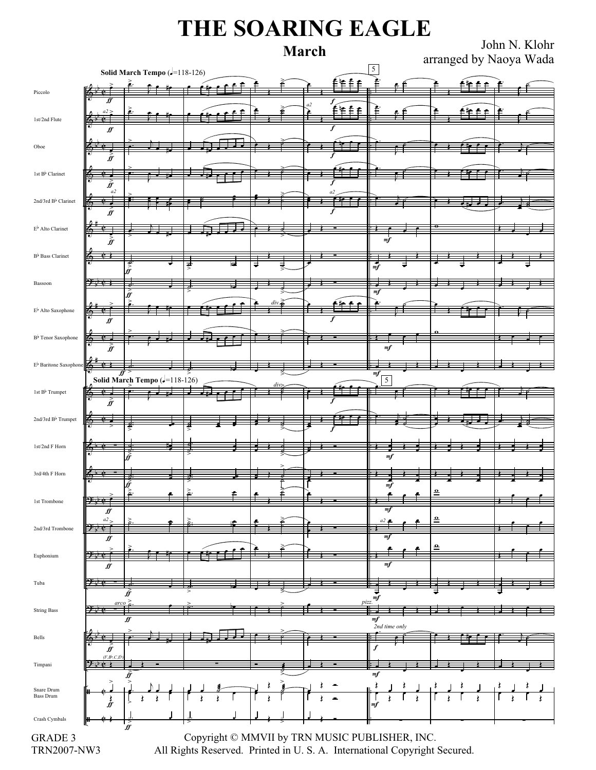### **THE SOARING EAGLE**

**March** John N. Klohr arranged by Naoya Wada

| Solid March Tempo (-118-126)       |                                       |                               |                                  |  |  |  |  |    |                                                | 5                    |   |  |  |
|------------------------------------|---------------------------------------|-------------------------------|----------------------------------|--|--|--|--|----|------------------------------------------------|----------------------|---|--|--|
| Piccolo                            |                                       |                               |                                  |  |  |  |  |    | ۴<br>€ €                                       |                      |   |  |  |
|                                    |                                       |                               |                                  |  |  |  |  | a2 |                                                |                      |   |  |  |
| 1st/2nd Flute                      |                                       |                               |                                  |  |  |  |  |    | ≜\≘ ≜                                          |                      |   |  |  |
|                                    | ff                                    |                               |                                  |  |  |  |  |    | f                                              |                      |   |  |  |
| Oboe                               |                                       |                               |                                  |  |  |  |  |    |                                                |                      |   |  |  |
|                                    | Ĥ                                     |                               |                                  |  |  |  |  |    |                                                |                      |   |  |  |
| 1st B <sup>b</sup> Clarinet        |                                       |                               |                                  |  |  |  |  |    |                                                |                      |   |  |  |
|                                    |                                       |                               |                                  |  |  |  |  |    |                                                |                      |   |  |  |
| 2nd/3rd B <sup>b</sup> Clarinet    | a2<br>6                               |                               |                                  |  |  |  |  |    |                                                |                      |   |  |  |
|                                    | ff                                    |                               |                                  |  |  |  |  |    |                                                |                      |   |  |  |
|                                    |                                       |                               |                                  |  |  |  |  |    |                                                |                      |   |  |  |
| $E^{\flat}$ Alto Clarinet          | $\hat{\vec{y}}$                       |                               |                                  |  |  |  |  |    |                                                | mf                   |   |  |  |
|                                    |                                       |                               |                                  |  |  |  |  |    |                                                |                      |   |  |  |
| B <sup>b</sup> Bass Clarinet       |                                       |                               |                                  |  |  |  |  |    |                                                | $\frac{1}{\sqrt{m}}$ |   |  |  |
|                                    | <del>9:10</del>                       |                               |                                  |  |  |  |  |    |                                                |                      |   |  |  |
| Bassoon                            |                                       | ff                            |                                  |  |  |  |  |    |                                                | m <sub>f</sub>       |   |  |  |
| $E^{\flat}$ Alto Saxophone         |                                       |                               |                                  |  |  |  |  |    |                                                |                      |   |  |  |
|                                    |                                       |                               |                                  |  |  |  |  |    |                                                |                      |   |  |  |
| B <sup>b</sup> Tenor Saxophone     |                                       |                               |                                  |  |  |  |  |    |                                                |                      |   |  |  |
|                                    | Íf                                    |                               |                                  |  |  |  |  |    |                                                | m f                  |   |  |  |
| $E^{\flat}$ Baritone Saxophone     |                                       |                               |                                  |  |  |  |  |    |                                                |                      |   |  |  |
|                                    | e                                     |                               |                                  |  |  |  |  |    |                                                | mf                   |   |  |  |
| 1st B <sup>b</sup> Trumpet         |                                       |                               | Solid March Tempo ( $=$ 118-126) |  |  |  |  |    |                                                | 5                    |   |  |  |
|                                    |                                       |                               |                                  |  |  |  |  |    |                                                |                      |   |  |  |
| $2$ nd/3rd $\rm B^{\flat}$ Trumpet |                                       |                               |                                  |  |  |  |  |    |                                                |                      |   |  |  |
|                                    |                                       |                               |                                  |  |  |  |  |    |                                                |                      |   |  |  |
| 1st/2nd F Horn                     |                                       |                               |                                  |  |  |  |  |    |                                                |                      |   |  |  |
|                                    |                                       |                               |                                  |  |  |  |  |    |                                                | mf                   |   |  |  |
| 3rd/4th F Horn                     |                                       |                               |                                  |  |  |  |  |    |                                                |                      |   |  |  |
|                                    |                                       |                               |                                  |  |  |  |  |    |                                                | m f                  |   |  |  |
| 1st Trombone                       |                                       |                               |                                  |  |  |  |  |    |                                                |                      |   |  |  |
|                                    | <u> 9. tra</u><br>$f\hspace{-0.1cm}f$ |                               |                                  |  |  |  |  |    |                                                | mf                   |   |  |  |
|                                    | a2                                    |                               |                                  |  |  |  |  |    |                                                | a2 (                 | ≏ |  |  |
| 2nd/3rd Trombone                   | 4<br>∬                                |                               |                                  |  |  |  |  |    |                                                | mj                   |   |  |  |
| $\ensuremath{\mathsf{E}}$ uphonium |                                       |                               |                                  |  |  |  |  |    |                                                |                      | ≏ |  |  |
|                                    | ff                                    |                               |                                  |  |  |  |  |    |                                                | mf                   |   |  |  |
| Tuba                               |                                       |                               |                                  |  |  |  |  |    |                                                |                      |   |  |  |
|                                    |                                       |                               |                                  |  |  |  |  |    |                                                |                      |   |  |  |
| <b>String Bass</b>                 | arco                                  |                               |                                  |  |  |  |  |    |                                                | $\vec{f}$<br>pizz.   |   |  |  |
|                                    |                                       | ∯                             |                                  |  |  |  |  |    |                                                | $\it mf$             |   |  |  |
|                                    |                                       |                               |                                  |  |  |  |  |    |                                                | $2nd$ time only      |   |  |  |
| Bells                              |                                       |                               |                                  |  |  |  |  |    |                                                |                      |   |  |  |
|                                    | Ĵf<br>$(F,B^{\flat},C,E)$             |                               |                                  |  |  |  |  |    |                                                |                      |   |  |  |
| Timpani                            |                                       |                               |                                  |  |  |  |  |    |                                                | mf                   |   |  |  |
| Snare Drum<br><b>Bass Drum</b>     |                                       |                               |                                  |  |  |  |  |    |                                                |                      |   |  |  |
|                                    |                                       |                               |                                  |  |  |  |  |    |                                                |                      |   |  |  |
|                                    |                                       |                               |                                  |  |  |  |  |    |                                                | m f                  |   |  |  |
| Crash Cymbals                      | ۱H                                    | $\overset{\text{>}}{\text{}}$ |                                  |  |  |  |  |    |                                                |                      |   |  |  |
| GRADE 3                            |                                       |                               |                                  |  |  |  |  |    | Copyright © MMVII by TRN MUSIC PUBLISHER, INC. |                      |   |  |  |

TRN2007-NW3

 Copyright © MMVII by TRN MUSIC PUBLISHER, INC. All Rights Reserved. Printed in U. S. A. International Copyright Secured.